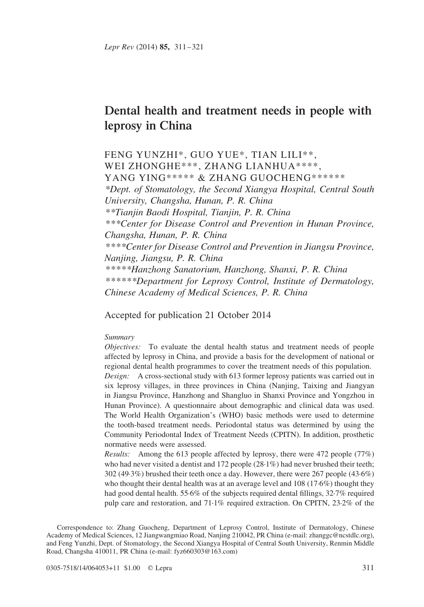# Dental health and treatment needs in people with leprosy in China

FENG YUNZHI\*, GUO YUE\*, TIAN LILI\*\*, WEI ZHONGHE\*\*\*, ZHANG LIANHUA\*\*\*\*, YANG YING\*\*\*\*\* & ZHANG GUOCHENG\*\*\*\*\*\* \*Dept. of Stomatology, the Second Xiangya Hospital, Central South University, Changsha, Hunan, P. R. China \*\*Tianjin Baodi Hospital, Tianjin, P. R. China \*\*\*Center for Disease Control and Prevention in Hunan Province, Changsha, Hunan, P. R. China \*\*\*\*Center for Disease Control and Prevention in Jiangsu Province, Nanjing, Jiangsu, P. R. China \*\*\*\*\*Hanzhong Sanatorium, Hanzhong, Shanxi, P. R. China \*\*\*\*\*\*Department for Leprosy Control, Institute of Dermatology, Chinese Academy of Medical Sciences, P. R. China

Accepted for publication 21 October 2014

#### Summary

Objectives: To evaluate the dental health status and treatment needs of people affected by leprosy in China, and provide a basis for the development of national or regional dental health programmes to cover the treatment needs of this population.

Design: A cross-sectional study with 613 former leprosy patients was carried out in six leprosy villages, in three provinces in China (Nanjing, Taixing and Jiangyan in Jiangsu Province, Hanzhong and Shangluo in Shanxi Province and Yongzhou in Hunan Province). A questionnaire about demographic and clinical data was used. The World Health Organization's (WHO) basic methods were used to determine the tooth-based treatment needs. Periodontal status was determined by using the Community Periodontal Index of Treatment Needs (CPITN). In addition, prosthetic normative needs were assessed.

Results: Among the 613 people affected by leprosy, there were 472 people (77%) who had never visited a dentist and 172 people (28·1%) had never brushed their teeth; 302 (49·3%) brushed their teeth once a day. However, there were 267 people (43·6%) who thought their dental health was at an average level and 108 (17·6%) thought they had good dental health. 55·6% of the subjects required dental fillings, 32·7% required pulp care and restoration, and 71·1% required extraction. On CPITN, 23·2% of the

Correspondence to: Zhang Guocheng, Department of Leprosy Control, Institute of Dermatology, Chinese Academy of Medical Sciences, 12 Jiangwangmiao Road, Nanjing 210042, PR China (e-mail: zhanggc@ncstdlc.org), and Feng Yunzhi, Dept. of Stomatology, the Second Xiangya Hospital of Central South University, Renmin Middle Road, Changsha 410011, PR China (e-mail: fyz660303@163.com)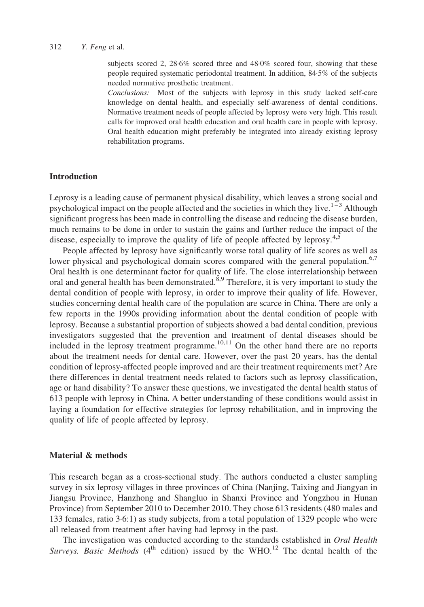subjects scored 2, 28·6% scored three and 48·0% scored four, showing that these people required systematic periodontal treatment. In addition, 84·5% of the subjects needed normative prosthetic treatment.

Conclusions: Most of the subjects with leprosy in this study lacked self-care knowledge on dental health, and especially self-awareness of dental conditions. Normative treatment needs of people affected by leprosy were very high. This result calls for improved oral health education and oral health care in people with leprosy. Oral health education might preferably be integrated into already existing leprosy rehabilitation programs.

## **Introduction**

Leprosy is a leading cause of permanent physical disability, which leaves a strong social and psychological impact on the people affected and the societies in which they live.<sup>[1–3](#page-9-0)</sup> Although significant progress has been made in controlling the disease and reducing the disease burden, much remains to be done in order to sustain the gains and further reduce the impact of the disease, especially to improve the quality of life of people affected by leprosy.<sup>[4,5](#page-9-0)</sup>

People affected by leprosy have significantly worse total quality of life scores as well as lower physical and psychological domain scores compared with the general population.<sup>[6,7](#page-9-0)</sup> Oral health is one determinant factor for quality of life. The close interrelationship between oral and general health has been demonstrated.<sup>[8,9](#page-9-0)</sup> Therefore, it is very important to study the dental condition of people with leprosy, in order to improve their quality of life. However, studies concerning dental health care of the population are scarce in China. There are only a few reports in the 1990s providing information about the dental condition of people with leprosy. Because a substantial proportion of subjects showed a bad dental condition, previous investigators suggested that the prevention and treatment of dental diseases should be included in the leprosy treatment programme.<sup>[10,11](#page-9-0)</sup> On the other hand there are no reports about the treatment needs for dental care. However, over the past 20 years, has the dental condition of leprosy-affected people improved and are their treatment requirements met? Are there differences in dental treatment needs related to factors such as leprosy classification, age or hand disability? To answer these questions, we investigated the dental health status of 613 people with leprosy in China. A better understanding of these conditions would assist in laying a foundation for effective strategies for leprosy rehabilitation, and in improving the quality of life of people affected by leprosy.

## Material & methods

This research began as a cross-sectional study. The authors conducted a cluster sampling survey in six leprosy villages in three provinces of China (Nanjing, Taixing and Jiangyan in Jiangsu Province, Hanzhong and Shangluo in Shanxi Province and Yongzhou in Hunan Province) from September 2010 to December 2010. They chose 613 residents (480 males and 133 females, ratio 3·6:1) as study subjects, from a total population of 1329 people who were all released from treatment after having had leprosy in the past.

The investigation was conducted according to the standards established in *Oral Health* Surveys. Basic Methods (4<sup>th</sup> edition) issued by the WHO.<sup>[12](#page-9-0)</sup> The dental health of the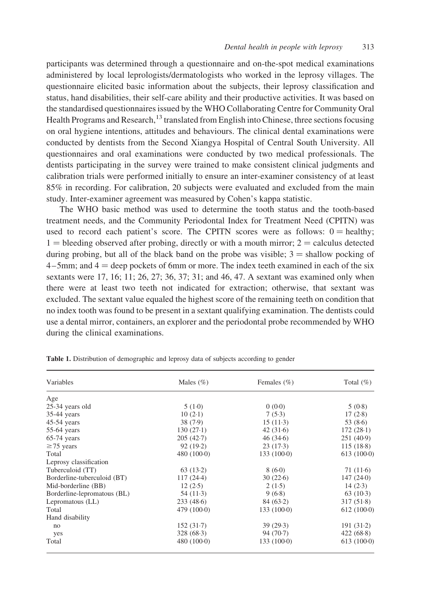<span id="page-2-0"></span>participants was determined through a questionnaire and on-the-spot medical examinations administered by local leprologists/dermatologists who worked in the leprosy villages. The questionnaire elicited basic information about the subjects, their leprosy classification and status, hand disabilities, their self-care ability and their productive activities. It was based on the standardised questionnaires issued by the WHO Collaborating Centre for Community Oral Health Programs and Research,  $^{13}$  $^{13}$  $^{13}$  translated from English into Chinese, three sections focusing on oral hygiene intentions, attitudes and behaviours. The clinical dental examinations were conducted by dentists from the Second Xiangya Hospital of Central South University. All questionnaires and oral examinations were conducted by two medical professionals. The dentists participating in the survey were trained to make consistent clinical judgments and calibration trials were performed initially to ensure an inter-examiner consistency of at least 85% in recording. For calibration, 20 subjects were evaluated and excluded from the main study. Inter-examiner agreement was measured by Cohen's kappa statistic.

The WHO basic method was used to determine the tooth status and the tooth-based treatment needs, and the Community Periodontal Index for Treatment Need (CPITN) was used to record each patient's score. The CPITN scores were as follows:  $0 = \text{healthy}$ ;  $1 =$  bleeding observed after probing, directly or with a mouth mirror;  $2 =$  calculus detected during probing, but all of the black band on the probe was visible;  $3 =$  shallow pocking of  $4-5$ mm; and  $4 =$  deep pockets of 6mm or more. The index teeth examined in each of the six sextants were 17, 16; 11; 26, 27; 36, 37; 31; and 46, 47. A sextant was examined only when there were at least two teeth not indicated for extraction; otherwise, that sextant was excluded. The sextant value equaled the highest score of the remaining teeth on condition that no index tooth was found to be present in a sextant qualifying examination. The dentists could use a dental mirror, containers, an explorer and the periodontal probe recommended by WHO during the clinical examinations.

| Variables                   | Males $(\%)$ | Females $(\% )$ | Total $(\%)$ |  |
|-----------------------------|--------------|-----------------|--------------|--|
| Age                         |              |                 |              |  |
| 25-34 years old             | 5(1.0)       | 0(0.0)          | 5(0.8)       |  |
| $35-44$ years               | $10(2-1)$    | 7(5.3)          | 17(2.8)      |  |
| $45-54$ years               | 38(7.9)      | $15(11-3)$      | 53 $(8.6)$   |  |
| $55-64$ years               | $130(27-1)$  | 42(31.6)        | $172(28-1)$  |  |
| $65-74$ years               | 205(42.7)    | 46(34.6)        | 251(40.9)    |  |
| $\geq$ 75 years             | 92(19.2)     | 23(17.3)        | 115(18.8)    |  |
| Total                       | 480(1000)    | $133(100-0)$    | 613(1000)    |  |
| Leprosy classification      |              |                 |              |  |
| Tuberculoid (TT)            | 63(13.2)     | 8(6.0)          | 71(11.6)     |  |
| Borderline-tuberculoid (BT) | $117(24-4)$  | 30(22.6)        | 147(240)     |  |
| Mid-borderline (BB)         | 12(2.5)      | 2(1.5)          | 14(2.3)      |  |
| Borderline-lepromatous (BL) | 54 $(11-3)$  | 9(6.8)          | 63(10.3)     |  |
| Lepromatous (LL)            | 233(48.6)    | 84(63.2)        | 317(51.8)    |  |
| Total                       | 479(1000)    | $133(100-0)$    | $612(100-0)$ |  |
| Hand disability             |              |                 |              |  |
| no                          | 152(31.7)    | 39(29.3)        | 191(31.2)    |  |
| yes                         | 328(68.3)    | 94 (70.7)       | 422(68.8)    |  |
| Total                       | 480(1000)    | $133(100-0)$    | 613(1000)    |  |

Table 1. Distribution of demographic and leprosy data of subjects according to gender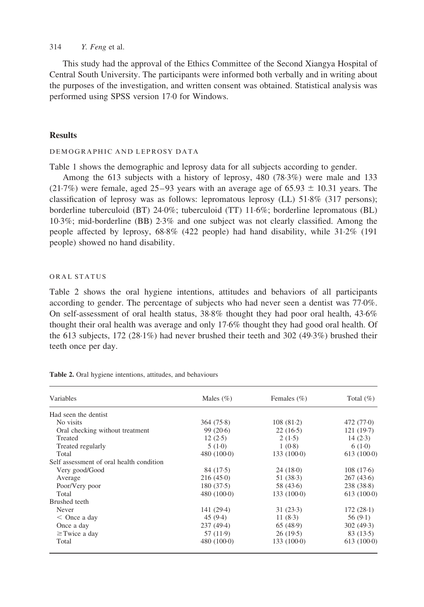This study had the approval of the Ethics Committee of the Second Xiangya Hospital of Central South University. The participants were informed both verbally and in writing about the purposes of the investigation, and written consent was obtained. Statistical analysis was performed using SPSS version 17·0 for Windows.

## **Results**

### DEMOGRAPHIC AND LEPROSY DATA

[Table 1](#page-2-0) shows the demographic and leprosy data for all subjects according to gender.

Among the 613 subjects with a history of leprosy, 480 (78·3%) were male and 133 (21.7%) were female, aged 25–93 years with an average age of 65.93  $\pm$  10.31 years. The classification of leprosy was as follows: lepromatous leprosy (LL) 51·8% (317 persons); borderline tuberculoid (BT) 24·0%; tuberculoid (TT) 11·6%; borderline lepromatous (BL) 10·3%; mid-borderline (BB) 2·3% and one subject was not clearly classified. Among the people affected by leprosy, 68·8% (422 people) had hand disability, while 31·2% (191 people) showed no hand disability.

### ORAL STATUS

Table 2 shows the oral hygiene intentions, attitudes and behaviors of all participants according to gender. The percentage of subjects who had never seen a dentist was 77·0%. On self-assessment of oral health status, 38·8% thought they had poor oral health, 43·6% thought their oral health was average and only 17·6% thought they had good oral health. Of the 613 subjects, 172 (28·1%) had never brushed their teeth and 302 (49·3%) brushed their teeth once per day.

| Variables                                | Males $(\% )$ | Females $(\% )$ | Total $(\%)$ |
|------------------------------------------|---------------|-----------------|--------------|
| Had seen the dentist                     |               |                 |              |
| No visits                                | 364(75.8)     | 108(81.2)       | 472 (77.0)   |
| Oral checking without treatment          | 99(20.6)      | 22(16.5)        | 121(19.7)    |
| Treated                                  | 12(2.5)       | 2(1.5)          | 14(2.3)      |
| Treated regularly                        | 5(1.0)        | 1(0.8)          | 6(1.0)       |
| Total                                    | 480(1000)     | 133(1000)       | 613(100.0)   |
| Self assessment of oral health condition |               |                 |              |
| Very good/Good                           | 84 (17.5)     | 24(18.0)        | 108(17.6)    |
| Average                                  | 216(45.0)     | 51(38.3)        | 267(43.6)    |
| Poor/Very poor                           | 180(37.5)     | 58 (43.6)       | 238(38.8)    |
| Total                                    | 480(1000)     | 133(1000)       | $613(100-0)$ |
| Brushed teeth                            |               |                 |              |
| Never                                    | 141 (29.4)    | 31(23.3)        | 172(28.1)    |
| $<$ Once a day                           | 45(9.4)       | 11 $(8.3)$      | 56(9.1)      |
| Once a day                               | 237(49.4)     | 65(48.9)        | 302(49.3)    |
| $\geq$ Twice a day                       | 57 (11.9)     | 26(19.5)        | 83(13.5)     |
| Total                                    | 480(1000)     | 133(1000)       | 613(100.0)   |

Table 2. Oral hygiene intentions, attitudes, and behaviours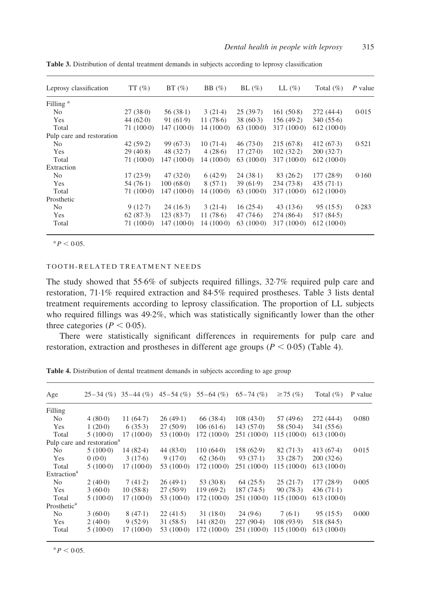| Leprosy classification    | $TT(\%)$    | $BT(\%)$    | BB $(\%)$   | BL(%)      | $LL(\%)$    | Total $(\% )$ | P value |
|---------------------------|-------------|-------------|-------------|------------|-------------|---------------|---------|
| Filling <sup>a</sup>      |             |             |             |            |             |               |         |
| N <sub>0</sub>            | 27(380)     | 56(38.1)    | 3(21.4)     | 25(39.7)   | 161(50.8)   | 272 (44.4)    | 0.015   |
| Yes                       | 44(620)     | 91(61.9)    | 11 $(78.6)$ | 38(60.3)   | 156 (49.2)  | 340(55.6)     |         |
| Total                     | $71(100-0)$ | 147 (1000)  | $14(100-0)$ | 63(100.0)  | 317(1000)   | $612(100-0)$  |         |
| Pulp care and restoration |             |             |             |            |             |               |         |
| N <sub>0</sub>            | 42(59.2)    | 99(67.3)    | $10(71-4)$  | 46(730)    | 215(67.8)   | 412(67.3)     | 0.521   |
| Yes                       | 29(40.8)    | 48 $(32.7)$ | 4(28.6)     | 17(270)    | 102(32.2)   | 200(32.7)     |         |
| Total                     | 71(1000)    | 147 (1000)  | 14 (1000)   | 63(100.0)  | 317(1000)   | $612(100-0)$  |         |
| Extraction                |             |             |             |            |             |               |         |
| N <sub>0</sub>            | 17(23.9)    | 47(320)     | 6(42.9)     | $24(38-1)$ | 83(26.2)    | 177(28.9)     | 0.160   |
| Yes                       | 54 $(76.1)$ | 100(680)    | 8(57.1)     | 39(61.9)   | 234(73.8)   | $435(71-1)$   |         |
| Total                     | 71 (100.0)  | 147 (1000)  | 14 (1000)   | 63(100.0)  | 317 (100.0) | $612(100-0)$  |         |
| Prosthetic                |             |             |             |            |             |               |         |
| N <sub>0</sub>            | 9(12.7)     | $24(16-3)$  | 3(21.4)     | 16(25.4)   | 43(13.6)    | 95(15.5)      | 0.283   |
| Yes                       | 62(87.3)    | 123(83.7)   | 11(78.6)    | 47(74.6)   | 274 (86.4)  | 517 (84.5)    |         |
| Total                     | 71(1000)    | 147 (1000)  | 14 (1000)   | 63(100.0)  | 317(1000)   | $612(100-0)$  |         |

Table 3. Distribution of dental treatment demands in subjects according to leprosy classification

 $^{a}P < 0.05$ .

## TOOTH-RELATED TREATMENT NEEDS

The study showed that 55·6% of subjects required fillings, 32·7% required pulp care and restoration, 71·1% required extraction and 84·5% required prostheses. Table 3 lists dental treatment requirements according to leprosy classification. The proportion of LL subjects who required fillings was 49·2%, which was statistically significantly lower than the other three categories ( $P < 0.05$ ).

There were statistically significant differences in requirements for pulp care and restoration, extraction and prostheses in different age groups ( $P < 0.05$ ) (Table 4).

| Age                     |                                        | $25-34$ (%) $35-44$ (%) |              | $45-54$ (%) $55-64$ (%) | $65 - 74$ (%) | $\geq$ 75 (%) | Total $(\% )$ | P value |
|-------------------------|----------------------------------------|-------------------------|--------------|-------------------------|---------------|---------------|---------------|---------|
| Filling                 |                                        |                         |              |                         |               |               |               |         |
| No                      | 4(80.0)                                | 11 $(64.7)$             | 26(49.1)     | 66 (38.4)               | 108(43.0)     | 57 (49.6)     | 272 (44.4)    | 0.080   |
| Yes                     | 1(20.0)                                | 6(35.3)                 | 27(50.9)     | 106(61.6)               | 143(570)      | 58 (50.4)     | 341(55.6)     |         |
| Total                   | $5(100-0)$                             | $17(100-0)$             | 53 (100.0)   | 172 (1000)              | 251 (100.0)   | 115 (100.0)   | $613(100-0)$  |         |
|                         | Pulp care and restoration <sup>a</sup> |                         |              |                         |               |               |               |         |
| N <sub>0</sub>          | $5(100-0)$                             | $14(82-4)$              | 44(830)      | 110(640)                | 158(62.9)     | 82(71.3)      | 413(67.4)     | 0.015   |
| Yes                     | 0(0.0)                                 | 3(17.6)                 | 9(17.0)      | 62(360)                 | 93(37.1)      | 33(28.7)      | 200(32.6)     |         |
| Total                   | $5(100-0)$                             | $17(100-0)$             | 53 (100.0)   | 172 (100.0)             | 251 (100.0)   | 115 (1000)    | 613(1000)     |         |
| Extraction <sup>a</sup> |                                        |                         |              |                         |               |               |               |         |
| N <sub>0</sub>          | 2(40.0)                                | 7(41.2)                 | 26(49.1)     | 53(30.8)                | 64(25.5)      | 25(21.7)      | 177(28.9)     | 0.005   |
| Yes                     | 3(60.0)                                | 10(58.8)                | 27(50.9)     | 119(69.2)               | 187(74.5)     | 90(78.3)      | $436(71-1)$   |         |
| Total                   | $5(100-0)$                             | $17(100-0)$             | 53 $(100-0)$ | 172 (100.0)             | $251(100-0)$  | 115 (100.0)   | 613(1000)     |         |
| Prosthetic <sup>a</sup> |                                        |                         |              |                         |               |               |               |         |
| N <sub>0</sub>          | 3(60.0)                                | 8(47.1)                 | 22(41.5)     | 31(180)                 | 24(9.6)       | 7(6.1)        | 95(15.5)      | 0.000   |
| Yes                     | 2(40.0)                                | 9(52.9)                 | 31(58.5)     | 141(820)                | 227(90.4)     | 108 (93.9)    | 518 (84.5)    |         |
| Total                   | $5(100-0)$                             | $17(100-0)$             | 53 (100.0)   | 172 (100.0)             | 251 (100.0)   | $115(100-0)$  | $613(100-0)$  |         |

Table 4. Distribution of dental treatment demands in subjects according to age group

 $^{\rm a}P < 0.05$ .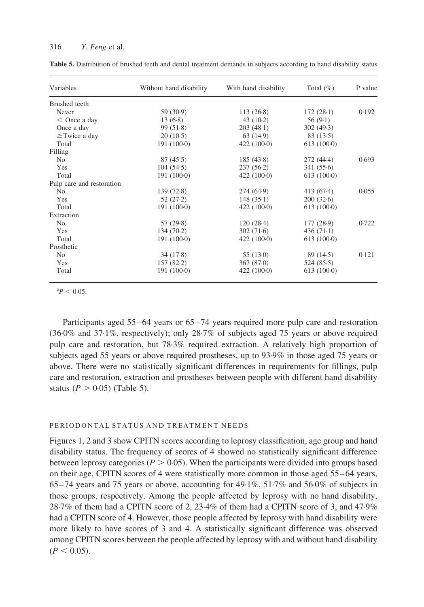| Variables                 | Without hand disability | With hand disability | Total $(\% )$ | P value |  |
|---------------------------|-------------------------|----------------------|---------------|---------|--|
| Brushed teeth             |                         |                      |               |         |  |
| Never                     | 59 (30.9)               | $113(26-8)$          | $172(28-1)$   | 0.192   |  |
| $<$ Once a day            | 13(6.8)                 | $43(10-2)$           | 56(9.1)       |         |  |
| Once a day                | 99(51.8)                | 203(48.1)            | 302(49.3)     |         |  |
| $\geq$ Twice a day        | 20(10.5)                | 63(14.9)             | 83(13.5)      |         |  |
| Total                     | $191(100-0)$            | $422(100-0)$         | $613(100-0)$  |         |  |
| Filling                   |                         |                      |               |         |  |
| N <sub>0</sub>            | 87(45.5)                | 185(43.8)            | $272(44-4)$   | 0.693   |  |
| Yes                       | 104(54.5)               | $237(56-2)$          | 341(55.6)     |         |  |
| Total                     | 191(1000)               | $422(100-0)$         | 613(1000)     |         |  |
| Pulp care and restoration |                         |                      |               |         |  |
| N <sub>0</sub>            | 139(72.8)               | 274 (64.9)           | $413(67-4)$   | 0.055   |  |
| Yes                       | 52(27.2)                | 148(35.1)            | 200(32.6)     |         |  |
| Total                     | 191(1000)               | $422(100-0)$         | 613(1000)     |         |  |
| Extraction                |                         |                      |               |         |  |
| N <sub>0</sub>            | 57(29.8)                | 120(28.4)            | 177(28.9)     | 0.722   |  |
| Yes                       | 134(70.2)               | 302(71.6)            | 436 $(71-1)$  |         |  |
| Total                     | 191(1000)               | $422(100-0)$         | 613(1000)     |         |  |
| Prosthetic                |                         |                      |               |         |  |
| N <sub>o</sub>            | 34(17.8)                | 55(13.0)             | 89(14.5)      | 0.121   |  |
| Yes                       | 157(82.2)               | 367(870)             | 524(85.5)     |         |  |
| Total                     | 191(1000)               | $422(100-0)$         | 613(1000)     |         |  |

Table 5. Distribution of brushed teeth and dental treatment demands in subjects according to hand disability status

 ${}^{a}P < 0.05$ .

Participants aged 55–64 years or 65–74 years required more pulp care and restoration (36·0% and 37·1%, respectively); only 28·7% of subjects aged 75 years or above required pulp care and restoration, but 78·3% required extraction. A relatively high proportion of subjects aged 55 years or above required prostheses, up to 93·9% in those aged 75 years or above. There were no statistically significant differences in requirements for fillings, pulp care and restoration, extraction and prostheses between people with different hand disability status ( $P > 0.05$ ) (Table 5).

## PERIODONTAL STATUS AND TREATMENT NEEDS

[Figures 1, 2 and 3](#page-6-0) show CPITN scores according to leprosy classification, age group and hand disability status. The frequency of scores of 4 showed no statistically significant difference between leprosy categories ( $P > 0.05$ ). When the participants were divided into groups based on their age, CPITN scores of 4 were statistically more common in those aged 55–64 years, 65–74 years and 75 years or above, accounting for 49·1%, 51·7% and 56·0% of subjects in those groups, respectively. Among the people affected by leprosy with no hand disability, 28·7% of them had a CPITN score of 2, 23·4% of them had a CPITN score of 3, and 47·9% had a CPITN score of 4. However, those people affected by leprosy with hand disability were more likely to have scores of 3 and 4. A statistically significant difference was observed among CPITN scores between the people affected by leprosy with and without hand disability  $(P < 0.05)$ .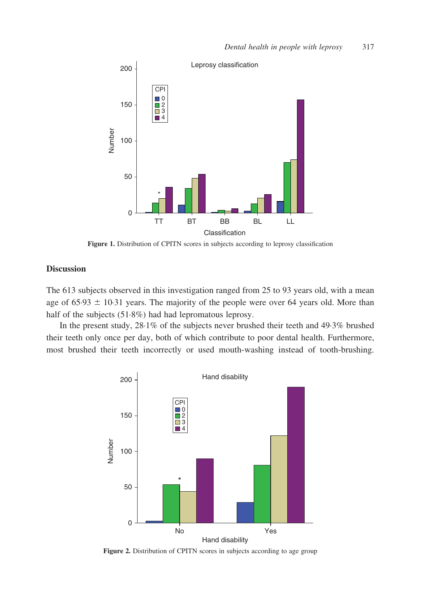<span id="page-6-0"></span>

Figure 1. Distribution of CPITN scores in subjects according to leprosy classification

## **Discussion**

The 613 subjects observed in this investigation ranged from 25 to 93 years old, with a mean age of  $65.93 \pm 10.31$  years. The majority of the people were over 64 years old. More than half of the subjects (51.8%) had had lepromatous leprosy.

In the present study, 28·1% of the subjects never brushed their teeth and 49·3% brushed their teeth only once per day, both of which contribute to poor dental health. Furthermore, most brushed their teeth incorrectly or used mouth-washing instead of tooth-brushing.



Figure 2. Distribution of CPITN scores in subjects according to age group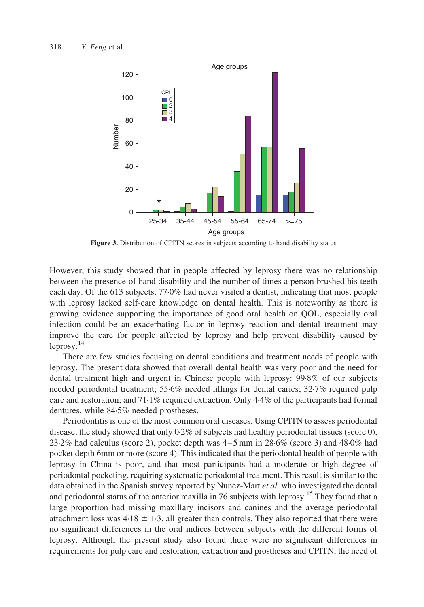

Figure 3. Distribution of CPITN scores in subjects according to hand disability status

However, this study showed that in people affected by leprosy there was no relationship between the presence of hand disability and the number of times a person brushed his teeth each day. Of the 613 subjects, 77·0% had never visited a dentist, indicating that most people with leprosy lacked self-care knowledge on dental health. This is noteworthy as there is growing evidence supporting the importance of good oral health on QOL, especially oral infection could be an exacerbating factor in leprosy reaction and dental treatment may improve the care for people affected by leprosy and help prevent disability caused by  $leprov.$ <sup>[14](#page-9-0)</sup>

There are few studies focusing on dental conditions and treatment needs of people with leprosy. The present data showed that overall dental health was very poor and the need for dental treatment high and urgent in Chinese people with leprosy: 99·8% of our subjects needed periodontal treatment; 55·6% needed fillings for dental caries; 32·7% required pulp care and restoration; and  $71.1\%$  required extraction. Only  $4.4\%$  of the participants had formal dentures, while 84·5% needed prostheses.

Periodontitis is one of the most common oral diseases. Using CPITN to assess periodontal disease, the study showed that only  $0.2\%$  of subjects had healthy periodontal tissues (score 0), 23·2% had calculus (score 2), pocket depth was 4–5 mm in 28·6% (score 3) and 48·0% had pocket depth 6mm or more (score 4). This indicated that the periodontal health of people with leprosy in China is poor, and that most participants had a moderate or high degree of periodontal pocketing, requiring systematic periodontal treatment. This result is similar to the data obtained in the Spanish survey reported by Nunez-Mart et al. who investigated the dental and periodontal status of the anterior maxilla in 76 subjects with leprosy.<sup>[15](#page-9-0)</sup> They found that a large proportion had missing maxillary incisors and canines and the average periodontal attachment loss was  $4.18 \pm 1.3$ , all greater than controls. They also reported that there were no significant differences in the oral indices between subjects with the different forms of leprosy. Although the present study also found there were no significant differences in requirements for pulp care and restoration, extraction and prostheses and CPITN, the need of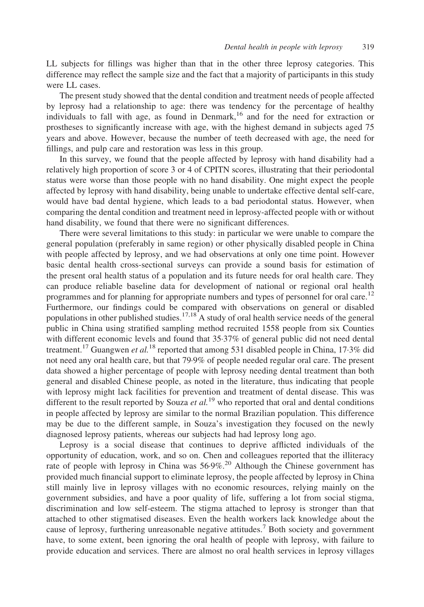LL subjects for fillings was higher than that in the other three leprosy categories. This difference may reflect the sample size and the fact that a majority of participants in this study were LL cases.

The present study showed that the dental condition and treatment needs of people affected by leprosy had a relationship to age: there was tendency for the percentage of healthy individuals to fall with age, as found in Denmark,<sup>[16](#page-9-0)</sup> and for the need for extraction or prostheses to significantly increase with age, with the highest demand in subjects aged 75 years and above. However, because the number of teeth decreased with age, the need for fillings, and pulp care and restoration was less in this group.

In this survey, we found that the people affected by leprosy with hand disability had a relatively high proportion of score 3 or 4 of CPITN scores, illustrating that their periodontal status were worse than those people with no hand disability. One might expect the people affected by leprosy with hand disability, being unable to undertake effective dental self-care, would have bad dental hygiene, which leads to a bad periodontal status. However, when comparing the dental condition and treatment need in leprosy-affected people with or without hand disability, we found that there were no significant differences.

There were several limitations to this study: in particular we were unable to compare the general population (preferably in same region) or other physically disabled people in China with people affected by leprosy, and we had observations at only one time point. However basic dental health cross-sectional surveys can provide a sound basis for estimation of the present oral health status of a population and its future needs for oral health care. They can produce reliable baseline data for development of national or regional oral health programmes and for planning for appropriate numbers and types of personnel for oral care.<sup>[12](#page-9-0)</sup> Furthermore, our findings could be compared with observations on general or disabled populations in other published studies.<sup>[17,18](#page-10-0)</sup> A study of oral health service needs of the general public in China using stratified sampling method recruited 1558 people from six Counties with different economic levels and found that 35·37% of general public did not need dental treatment.<sup>[17](#page-10-0)</sup> Guangwen *et al.*<sup>[18](#page-10-0)</sup> reported that among 531 disabled people in China, 17·3% did not need any oral health care, but that 79·9% of people needed regular oral care. The present data showed a higher percentage of people with leprosy needing dental treatment than both general and disabled Chinese people, as noted in the literature, thus indicating that people with leprosy might lack facilities for prevention and treatment of dental disease. This was different to the result reported by Souza et  $al$ <sup>[19](#page-10-0)</sup> who reported that oral and dental conditions in people affected by leprosy are similar to the normal Brazilian population. This difference may be due to the different sample, in Souza's investigation they focused on the newly diagnosed leprosy patients, whereas our subjects had had leprosy long ago.

Leprosy is a social disease that continues to deprive afflicted individuals of the opportunity of education, work, and so on. Chen and colleagues reported that the illiteracy rate of people with leprosy in China was 56.9%.<sup>[20](#page-10-0)</sup> Although the Chinese government has provided much financial support to eliminate leprosy, the people affected by leprosy in China still mainly live in leprosy villages with no economic resources, relying mainly on the government subsidies, and have a poor quality of life, suffering a lot from social stigma, discrimination and low self-esteem. The stigma attached to leprosy is stronger than that attached to other stigmatised diseases. Even the health workers lack knowledge about the cause of leprosy, furthering unreasonable negative attitudes.<sup>[7](#page-9-0)</sup> Both society and government have, to some extent, been ignoring the oral health of people with leprosy, with failure to provide education and services. There are almost no oral health services in leprosy villages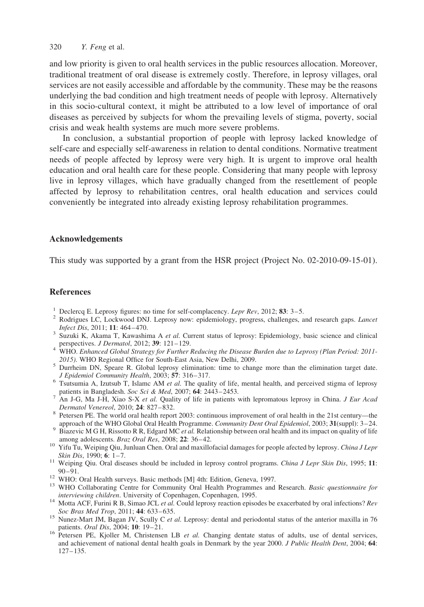<span id="page-9-0"></span>and low priority is given to oral health services in the public resources allocation. Moreover, traditional treatment of oral disease is extremely costly. Therefore, in leprosy villages, oral services are not easily accessible and affordable by the community. These may be the reasons underlying the bad condition and high treatment needs of people with leprosy. Alternatively in this socio-cultural context, it might be attributed to a low level of importance of oral diseases as perceived by subjects for whom the prevailing levels of stigma, poverty, social crisis and weak health systems are much more severe problems.

In conclusion, a substantial proportion of people with leprosy lacked knowledge of self-care and especially self-awareness in relation to dental conditions. Normative treatment needs of people affected by leprosy were very high. It is urgent to improve oral health education and oral health care for these people. Considering that many people with leprosy live in leprosy villages, which have gradually changed from the resettlement of people affected by leprosy to rehabilitation centres, oral health education and services could conveniently be integrated into already existing leprosy rehabilitation programmes.

## Acknowledgements

This study was supported by a grant from the HSR project (Project No. 02-2010-09-15-01).

## **References**

- 
- <sup>1</sup> Declercq E. Leprosy figures: no time for self-complacency. *Lepr Rev*, 2012; **83**: 3–5.<br><sup>2</sup> Rodrigues LC, Lockwood DNJ. Leprosy now: epidemiology, progress, challenges, and research gaps. *Lancet Infect Dis.* 2011:
- <sup>3</sup> Suzuki K, Akama T, Kawashima A et al. Current status of leprosy: Epidemiology, basic science and clinical
- perspectives. J Dermatol, 2012; 39: 121–129.<br>4 WHO. Enhanced Global Strategy for Further Reducing the Disease Burden due to Leprosy (Plan Period: 2011-
- <sup>5</sup> Durrheim DN, Speare R. Global leprosy elimination: time to change more than the elimination target date.<br>*5 Durrheim DN, Speare R. Global leprosy elimination: time to change more than the elimination target date.<br><i>5 Ep*
- $\sigma$  Tsutsumia A, Izutsub T, Islamc AM *et al.* The quality of life, mental health, and perceived stigma of leprosy
- patients in Bangladesh. Soc Sci & Med, 2007; 64: 2443–2453.<br><sup>7</sup> An J-G, Ma J-H, Xiao S-X et al. Quality of life in patients with lepromatous leprosy in China. *J Eur Acad Dermatol Venereol*, 2010; **24**: 827–832.
- Petersen PE. The world oral health report 2003: continuous improvement of oral health in the 21st century—the<br>approach of the WHO Global Oral Health Programme. *Community Dent Oral Epidemiol*, 2003; 31(suppl): 3–24.
- <sup>9</sup> Biazevic M G H, Rissotto R R, Edgard MC et al. Relationship between oral health and its impact on quality of life
- among adolescents. Braz Oral Res, 2008; 22: 36–42.<br><sup>10</sup> Yifu Tu, Weiping Qiu, Junluan Chen. Oral and maxillofacial damages for people afected by leprosy. China J Lepr<br>Skin Dis, 1990; 6: 1–7.
- <sup>11</sup> Weiping Qiu. Oral diseases should be included in leprosy control programs. *China J Lepr Skin Dis*, 1995; 11:<br>90–91.
- 
- <sup>12</sup> WHO: Oral Health surveys. Basic methods [M] 4th: Edition, Geneva, 1997.<br><sup>13</sup> WHO Collaborating Centre for Community Oral Health Programmes and Research. *Basic questionnaire for*<br>*interviewing children*. University o
- <sup>14</sup> Motta ACF, Furini R B, Simao JCL *et al.* Could leprosy reaction episodes be exacerbated by oral infections? Rev Soc Bras Med Trop. 2011; **44:** 633–635.
- <sup>15</sup> Nunez-Mart JM, Bagan JV, Scully C *et al.* Leprosy: dental and periodontal status of the anterior maxilla in 76 patients. *Oral Dis.* 2004: **10**: 19–21.
- $16$  Petersen PE, Kjoller M, Christensen LB *et al.* Changing dentate status of adults, use of dental services, and achievement of national dental health goals in Denmark by the year 2000. J Public Health Dent, 2004; 64: 127–135.